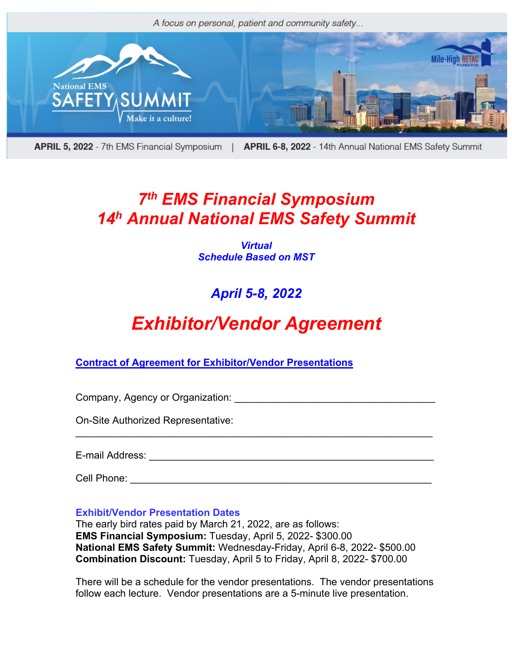

APRIL 5, 2022 - 7th EMS Financial Symposium | APRIL 6-8, 2022 - 14th Annual National EMS Safety Summit

## *7th EMS Financial Symposium 14h Annual National EMS Safety Summit*

*Virtual Schedule Based on MST*

### *April 5-8, 2022*

# *Exhibitor/Vendor Agreement*

\_\_\_\_\_\_\_\_\_\_\_\_\_\_\_\_\_\_\_\_\_\_\_\_\_\_\_\_\_\_\_\_\_\_\_\_\_\_\_\_\_\_\_\_\_\_\_\_\_\_\_\_\_\_\_\_\_\_\_\_\_\_\_\_

**Contract of Agreement for Exhibitor/Vendor Presentations**

Company, Agency or Organization: \_\_\_\_\_\_\_\_\_\_\_\_\_\_\_\_\_\_\_\_\_\_\_\_\_\_\_\_\_\_\_\_\_\_\_\_

On-Site Authorized Representative:

E-mail Address: \_\_\_\_\_\_\_\_\_\_\_\_\_\_\_\_\_\_\_\_\_\_\_\_\_\_\_\_\_\_\_\_\_\_\_\_\_\_\_\_\_\_\_\_\_\_\_\_\_\_\_

Cell Phone: <u>and</u> the contract of the contract of the contract of the contract of the contract of the contract of the contract of the contract of the contract of the contract of the contract of the contract of the contract

**Exhibit/Vendor Presentation Dates**

The early bird rates paid by March 21, 2022, are as follows: **EMS Financial Symposium:** Tuesday, April 5, 2022- \$300.00 **National EMS Safety Summit:** Wednesday-Friday, April 6-8, 2022- \$500.00 **Combination Discount:** Tuesday, April 5 to Friday, April 8, 2022- \$700.00

There will be a schedule for the vendor presentations. The vendor presentations follow each lecture. Vendor presentations are a 5-minute live presentation.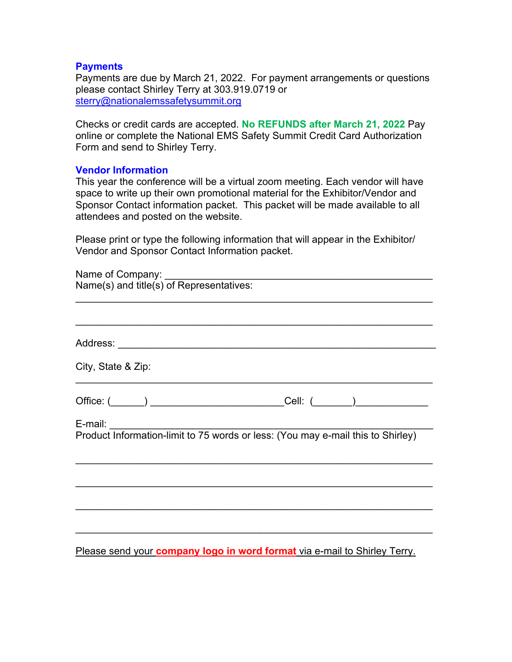#### **Payments**

Payments are due by March 21, 2022. For payment arrangements or questions please contact Shirley Terry at 303.919.0719 or sterry@nationalemssafetysummit.org

Checks or credit cards are accepted. **No REFUNDS after March 21, 2022** Pay online or complete the National EMS Safety Summit Credit Card Authorization Form and send to Shirley Terry.

#### **Vendor Information**

This year the conference will be a virtual zoom meeting. Each vendor will have space to write up their own promotional material for the Exhibitor/Vendor and Sponsor Contact information packet. This packet will be made available to all attendees and posted on the website.

Please print or type the following information that will appear in the Exhibitor/ Vendor and Sponsor Contact Information packet.

| City, State & Zip:                                                               |
|----------------------------------------------------------------------------------|
|                                                                                  |
|                                                                                  |
|                                                                                  |
|                                                                                  |
|                                                                                  |
|                                                                                  |
|                                                                                  |
|                                                                                  |
|                                                                                  |
|                                                                                  |
|                                                                                  |
|                                                                                  |
|                                                                                  |
|                                                                                  |
| Please send your <b>company logo in word format</b> via e-mail to Shirley Terry. |
|                                                                                  |